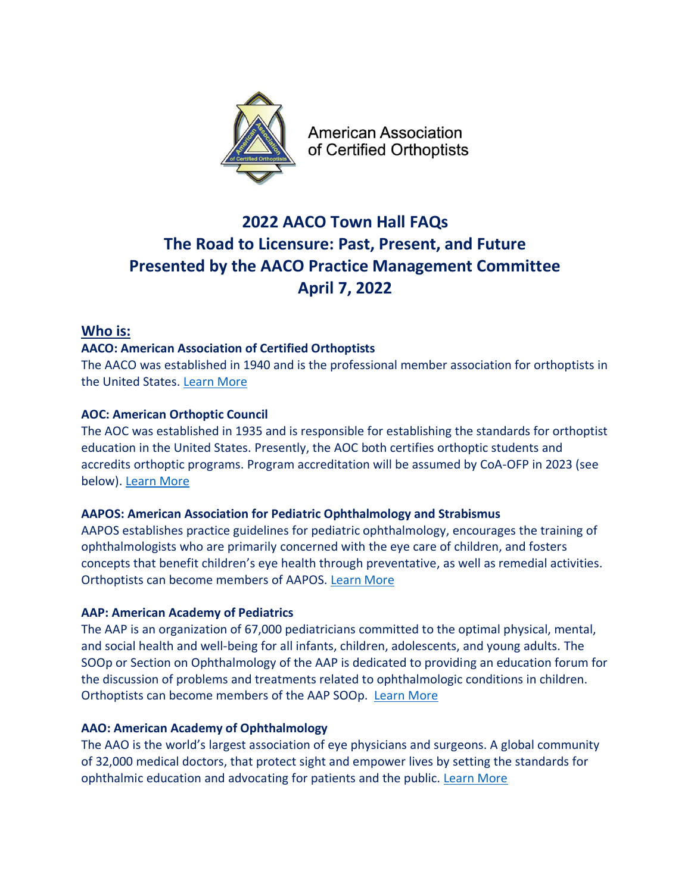

**American Association** of Certified Orthoptists

# **2022 AACO Town Hall FAQs The Road to Licensure: Past, Present, and Future Presented by the AACO Practice Management Committee April 7, 2022**

## **Who is:**

## **AACO: American Association of Certified Orthoptists**

The AACO was established in 1940 and is the professional member association for orthoptists in the United States. [Learn More](https://www.orthoptics.org/american-association-of-certified-orthoptists-aaco-)

## **AOC: American Orthoptic Council**

The AOC was established in 1935 and is responsible for establishing the standards for orthoptist education in the United States. Presently, the AOC both certifies orthoptic students and accredits orthoptic programs. Program accreditation will be assumed by CoA-OFP in 2023 (see below). [Learn More](https://www.orthoptics.org/american-orthoptic-council-aoc-)

## **AAPOS: American Association for Pediatric Ophthalmology and Strabismus**

AAPOS establishes practice guidelines for pediatric ophthalmology, encourages the training of ophthalmologists who are primarily concerned with the eye care of children, and fosters concepts that benefit children's eye health through preventative, as well as remedial activities. Orthoptists can become members of AAPOS. [Learn More](https://aapos.org/home)

## **AAP: American Academy of Pediatrics**

The AAP is an organization of 67,000 pediatricians committed to the optimal physical, mental, and social health and well-being for all infants, children, adolescents, and young adults. The SOOp or Section on Ophthalmology of the AAP is dedicated to providing an education forum for the discussion of problems and treatments related to ophthalmologic conditions in children. Orthoptists can become members of the AAP SOOp. [Learn More](https://www.aap.org/en/community/aap-sections/ophthalmology/)

## **AAO: American Academy of Ophthalmology**

The AAO is the world's largest association of eye physicians and surgeons. A global community of 32,000 medical doctors, that protect sight and empower lives by setting the standards for ophthalmic education and advocating for patients and the public. [Learn More](https://www.aao.org/about/who-we-are/overview)